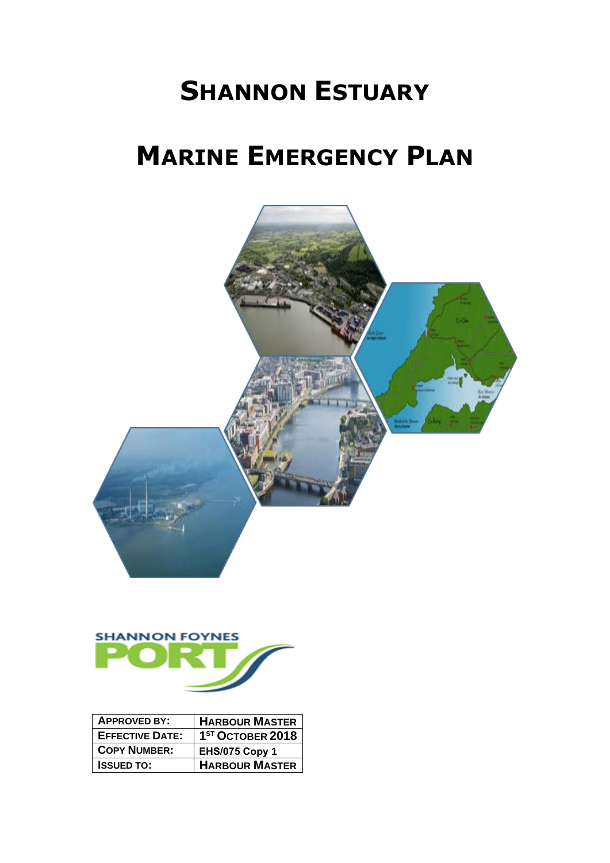# **SHANNON ESTUARY**

# **MARINE EMERGENCY PLAN**



| <b>APPROVED BY:</b>    | <b>HARBOUR MASTER</b>        |
|------------------------|------------------------------|
| <b>EFFECTIVE DATE:</b> | 1 <sup>ST</sup> OCTOBER 2018 |
| <b>COPY NUMBER:</b>    | <b>EHS/075 Copy 1</b>        |
| <b>ISSUED TO:</b>      | <b>HARBOUR MASTER</b>        |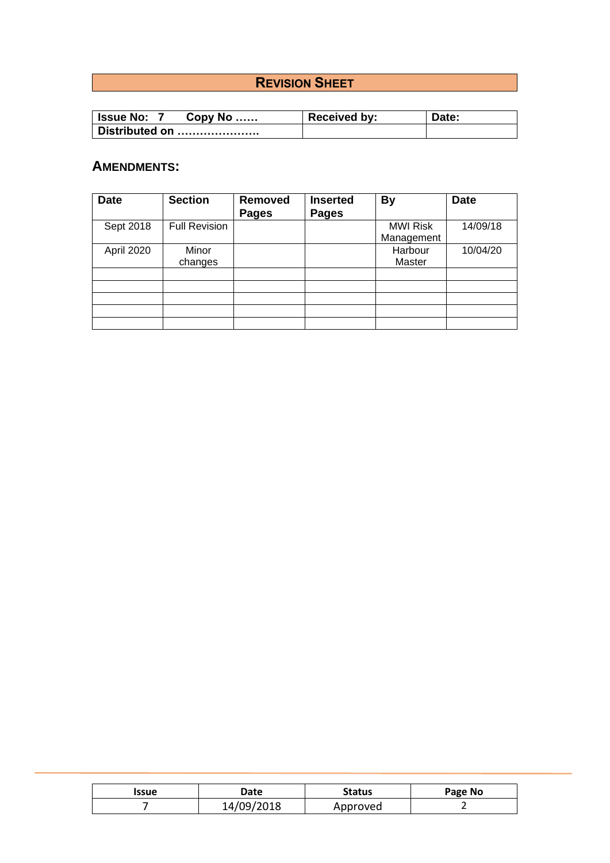# **REVISION SHEET**

| ∣ Issue No:<br>$Copy No$ | <b>Received by:</b> | Date: |
|--------------------------|---------------------|-------|
| Distributed on           |                     |       |

## **AMENDMENTS:**

| <b>Date</b> | <b>Section</b>       | <b>Removed</b><br><b>Pages</b> | <b>Inserted</b><br><b>Pages</b> | <b>By</b>                     | <b>Date</b> |
|-------------|----------------------|--------------------------------|---------------------------------|-------------------------------|-------------|
| Sept 2018   | <b>Full Revision</b> |                                |                                 | <b>MWI Risk</b><br>Management | 14/09/18    |
| April 2020  | Minor<br>changes     |                                |                                 | Harbour<br>Master             | 10/04/20    |
|             |                      |                                |                                 |                               |             |
|             |                      |                                |                                 |                               |             |
|             |                      |                                |                                 |                               |             |
|             |                      |                                |                                 |                               |             |
|             |                      |                                |                                 |                               |             |

| Issue | Date       | <b>Status</b> | Page No |
|-------|------------|---------------|---------|
|       | 14/09/2018 | Approved      |         |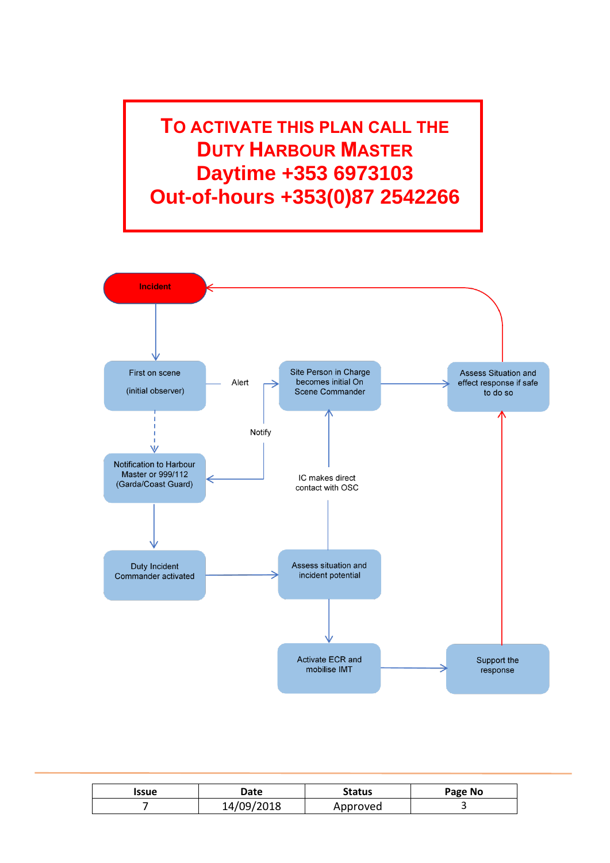**TO ACTIVATE THIS PLAN CALL THE DUTY HARBOUR MASTER Daytime +353 6973103 Out-of-hours +353(0)87 2542266**



| Issue | Date       | <b>Status</b> | Page No |
|-------|------------|---------------|---------|
|       | 14/09/2018 | Approved      |         |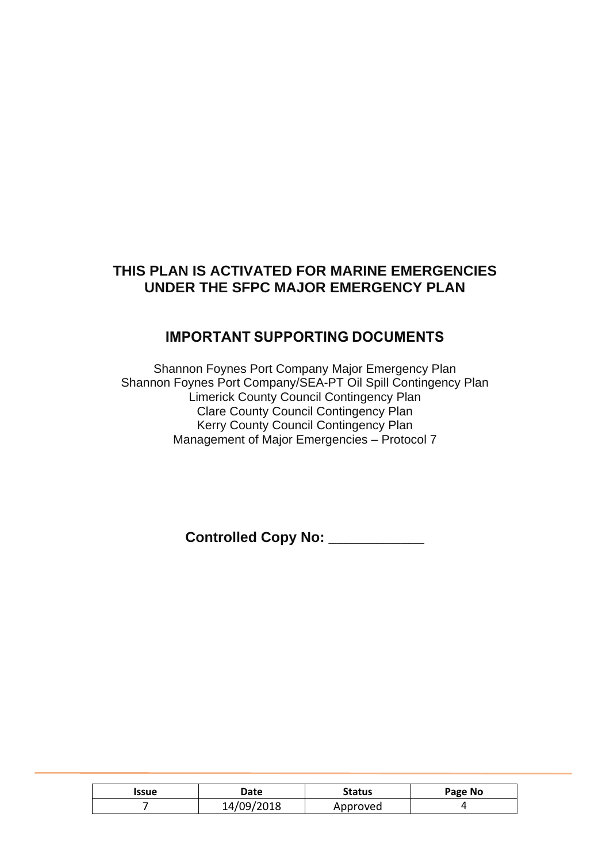## **THIS PLAN IS ACTIVATED FOR MARINE EMERGENCIES UNDER THE SFPC MAJOR EMERGENCY PLAN**

## **IMPORTANT SUPPORTING DOCUMENTS**

Shannon Foynes Port Company Major Emergency Plan Shannon Foynes Port Company/SEA-PT Oil Spill Contingency Plan Limerick County Council Contingency Plan Clare County Council Contingency Plan Kerry County Council Contingency Plan Management of Major Emergencies – Protocol 7

**Controlled Copy No: \_\_\_\_\_\_\_\_\_\_\_\_**

| <b>Issue</b> | <b>Date</b> | <b>Status</b> | Page No |
|--------------|-------------|---------------|---------|
|              | 14/09/2018  | Approved      |         |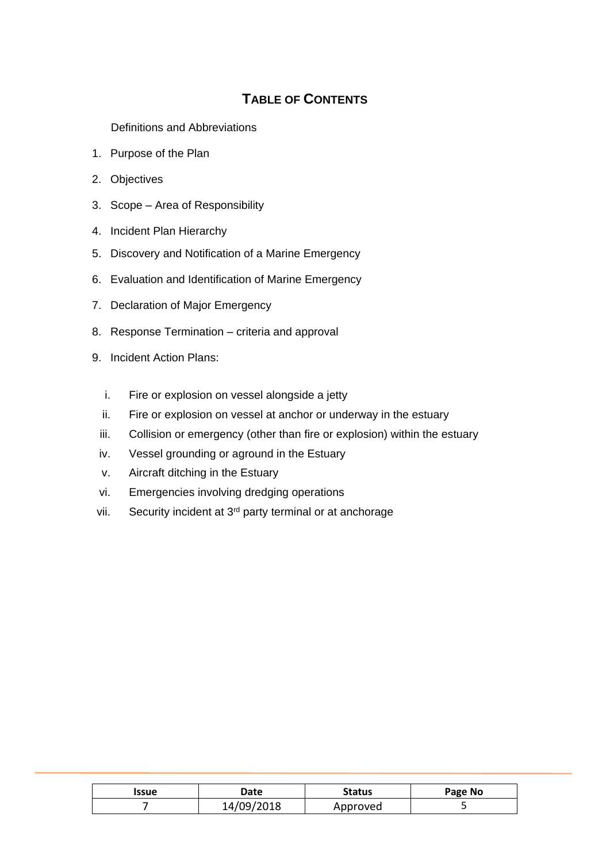# **TABLE OF CONTENTS**

Definitions and Abbreviations

- 1. Purpose of the Plan
- 2. Objectives
- 3. Scope Area of Responsibility
- 4. Incident Plan Hierarchy
- 5. Discovery and Notification of a Marine Emergency
- 6. Evaluation and Identification of Marine Emergency
- 7. Declaration of Major Emergency
- 8. Response Termination criteria and approval
- 9. Incident Action Plans:
	- i. Fire or explosion on vessel alongside a jetty
	- ii. Fire or explosion on vessel at anchor or underway in the estuary
	- iii. Collision or emergency (other than fire or explosion) within the estuary
	- iv. Vessel grounding or aground in the Estuary
	- v. Aircraft ditching in the Estuary
	- vi. Emergencies involving dredging operations
- vii. Security incident at 3<sup>rd</sup> party terminal or at anchorage

| Issue | Date       | <b>Status</b> | Page No |
|-------|------------|---------------|---------|
|       | 14/09/2018 | Approved      |         |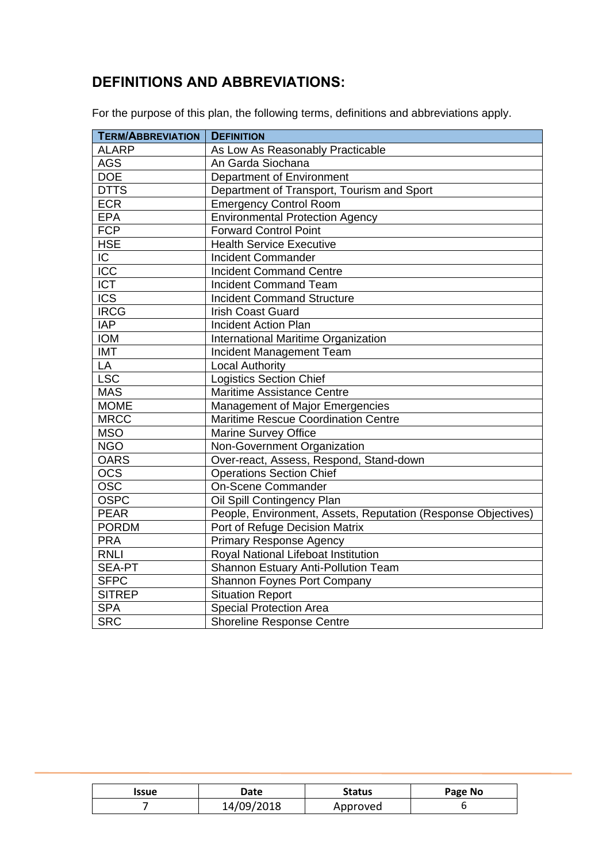# **DEFINITIONS AND ABBREVIATIONS:**

For the purpose of this plan, the following terms, definitions and abbreviations apply.

| <b>TERM/ABBREVIATION</b> | <b>DEFINITION</b>                                             |  |
|--------------------------|---------------------------------------------------------------|--|
| <b>ALARP</b>             | As Low As Reasonably Practicable                              |  |
| <b>AGS</b>               | An Garda Siochana                                             |  |
| <b>DOE</b>               | Department of Environment                                     |  |
| <b>DTTS</b>              | Department of Transport, Tourism and Sport                    |  |
| <b>ECR</b>               | <b>Emergency Control Room</b>                                 |  |
| <b>EPA</b>               | <b>Environmental Protection Agency</b>                        |  |
| <b>FCP</b>               | <b>Forward Control Point</b>                                  |  |
| <b>HSE</b>               | <b>Health Service Executive</b>                               |  |
| $\overline{C}$           | <b>Incident Commander</b>                                     |  |
| ICC                      | <b>Incident Command Centre</b>                                |  |
| <b>ICT</b>               | <b>Incident Command Team</b>                                  |  |
| <b>ICS</b>               | <b>Incident Command Structure</b>                             |  |
| <b>IRCG</b>              | <b>Irish Coast Guard</b>                                      |  |
| <b>IAP</b>               | <b>Incident Action Plan</b>                                   |  |
| <b>IOM</b>               | International Maritime Organization                           |  |
| <b>IMT</b>               | Incident Management Team                                      |  |
| LA                       | <b>Local Authority</b>                                        |  |
| <b>LSC</b>               | <b>Logistics Section Chief</b>                                |  |
| <b>MAS</b>               | Maritime Assistance Centre                                    |  |
| <b>MOME</b>              | Management of Major Emergencies                               |  |
| <b>MRCC</b>              | Maritime Rescue Coordination Centre                           |  |
| <b>MSO</b>               | <b>Marine Survey Office</b>                                   |  |
| <b>NGO</b>               | Non-Government Organization                                   |  |
| <b>OARS</b>              | Over-react, Assess, Respond, Stand-down                       |  |
| $\overline{OCS}$         | <b>Operations Section Chief</b>                               |  |
| $\overline{OSC}$         | <b>On-Scene Commander</b>                                     |  |
| <b>OSPC</b>              | Oil Spill Contingency Plan                                    |  |
| <b>PEAR</b>              | People, Environment, Assets, Reputation (Response Objectives) |  |
| <b>PORDM</b>             | Port of Refuge Decision Matrix                                |  |
| <b>PRA</b>               | <b>Primary Response Agency</b>                                |  |
| <b>RNLI</b>              | Royal National Lifeboat Institution                           |  |
| SEA-PT                   | Shannon Estuary Anti-Pollution Team                           |  |
| <b>SFPC</b>              | Shannon Foynes Port Company                                   |  |
| <b>SITREP</b>            | <b>Situation Report</b>                                       |  |
| <b>SPA</b>               | <b>Special Protection Area</b>                                |  |
| <b>SRC</b>               | <b>Shoreline Response Centre</b>                              |  |

| Issue | Date       | <b>Status</b> | Page No |
|-------|------------|---------------|---------|
|       | 14/09/2018 | Approved      |         |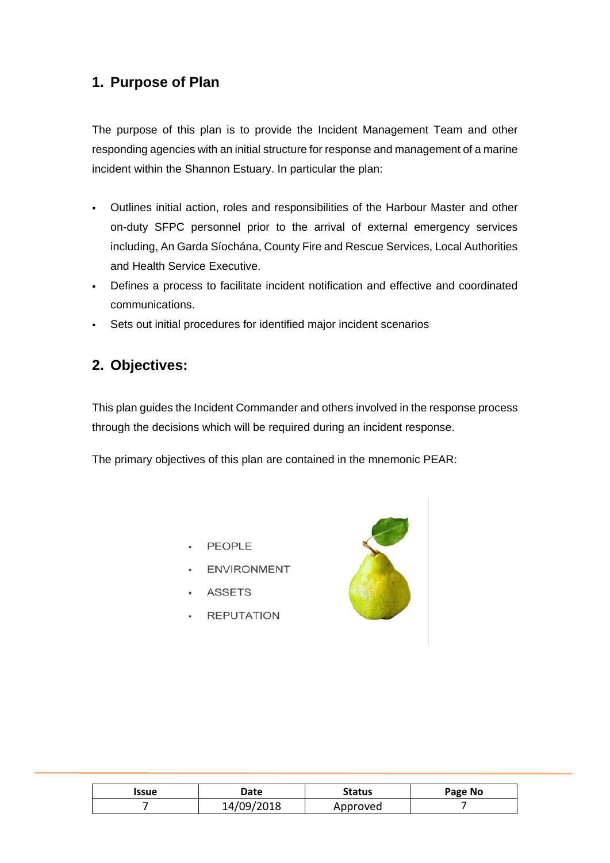# **1. Purpose of Plan**

The purpose of this plan is to provide the Incident Management Team and other responding agencies with an initial structure for response and management of a marine incident within the Shannon Estuary. In particular the plan:

- Outlines initial action, roles and responsibilities of the Harbour Master and other on-duty SFPC personnel prior to the arrival of external emergency services including, An Garda Síochána, County Fire and Rescue Services, Local Authorities and Health Service Executive.
- Defines a process to facilitate incident notification and effective and coordinated communications.
- Sets out initial procedures for identified major incident scenarios

## **2. Objectives:**

This plan guides the Incident Commander and others involved in the response process through the decisions which will be required during an incident response.

The primary objectives of this plan are contained in the mnemonic PEAR:

- · PEOPLE
- ENVIRONMENT
- ASSETS
- · REPUTATION



| Issue | Date       | <b>Status</b> | Page No |
|-------|------------|---------------|---------|
|       | 14/09/2018 | Approved      |         |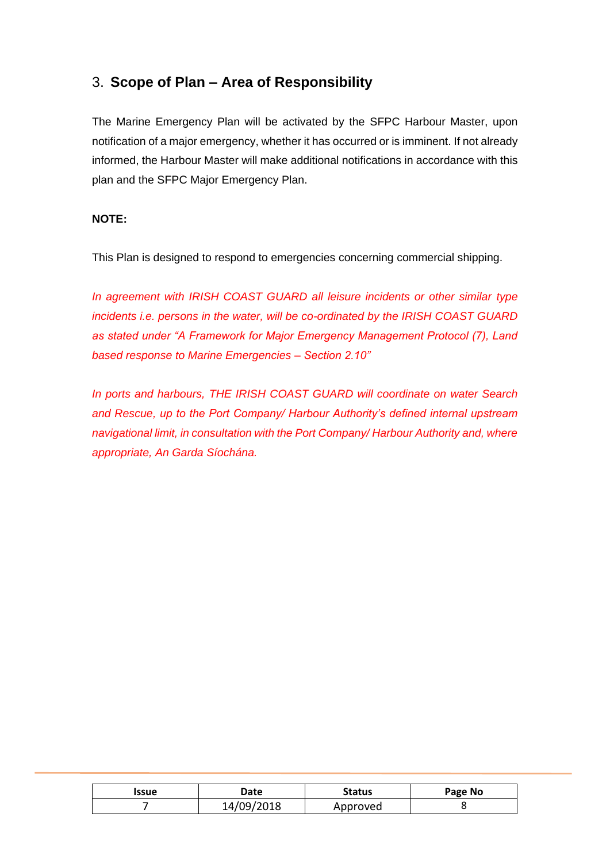## 3. **Scope of Plan – Area of Responsibility**

The Marine Emergency Plan will be activated by the SFPC Harbour Master, upon notification of a major emergency, whether it has occurred or is imminent. If not already informed, the Harbour Master will make additional notifications in accordance with this plan and the SFPC Major Emergency Plan.

#### **NOTE:**

This Plan is designed to respond to emergencies concerning commercial shipping.

*In agreement with IRISH COAST GUARD all leisure incidents or other similar type incidents i.e. persons in the water, will be co-ordinated by the IRISH COAST GUARD as stated under "A Framework for Major Emergency Management Protocol (7), Land based response to Marine Emergencies – Section 2.10"* 

*In ports and harbours, THE IRISH COAST GUARD will coordinate on water Search and Rescue, up to the Port Company/ Harbour Authority's defined internal upstream navigational limit, in consultation with the Port Company/ Harbour Authority and, where appropriate, An Garda Síochána.*

| Issue | Date       | <b>Status</b> | Page No |
|-------|------------|---------------|---------|
|       | 14/09/2018 | Approved      |         |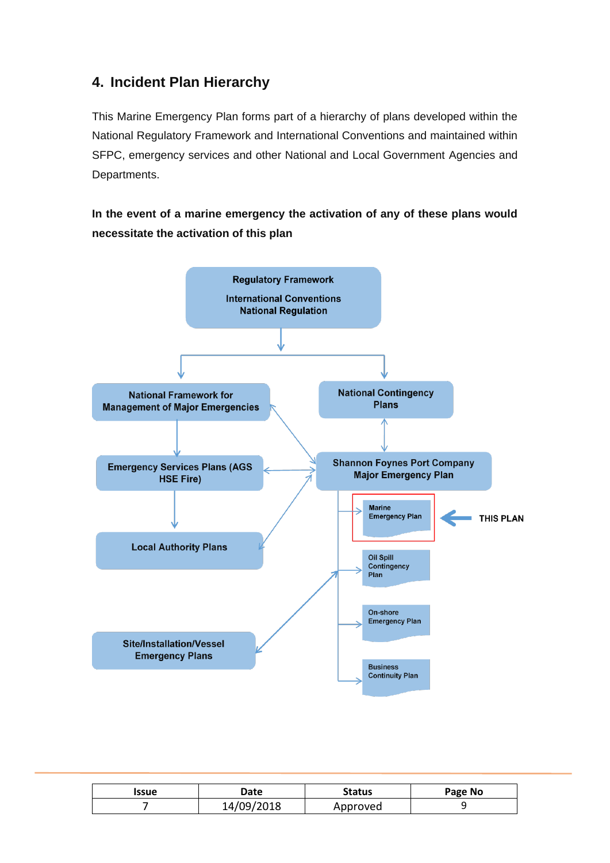# **4. Incident Plan Hierarchy**

This Marine Emergency Plan forms part of a hierarchy of plans developed within the National Regulatory Framework and International Conventions and maintained within SFPC, emergency services and other National and Local Government Agencies and Departments.

## **In the event of a marine emergency the activation of any of these plans would necessitate the activation of this plan**



| Issue | Date       | <b>Status</b> | Page No |
|-------|------------|---------------|---------|
|       | 14/09/2018 | Approved      |         |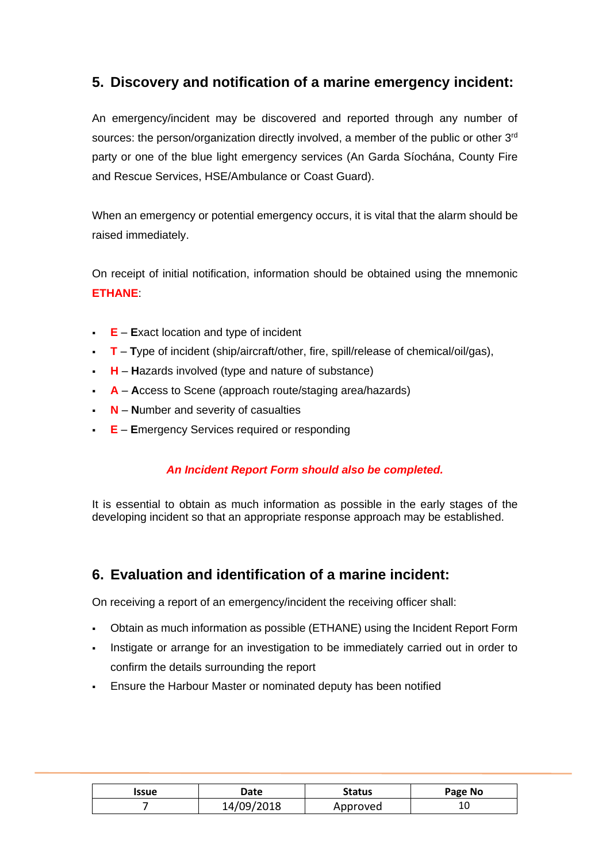# **5. Discovery and notification of a marine emergency incident:**

An emergency/incident may be discovered and reported through any number of sources: the person/organization directly involved, a member of the public or other 3<sup>rd</sup> party or one of the blue light emergency services (An Garda Síochána, County Fire and Rescue Services, HSE/Ambulance or Coast Guard).

When an emergency or potential emergency occurs, it is vital that the alarm should be raised immediately.

On receipt of initial notification, information should be obtained using the mnemonic **ETHANE**:

- **E E**xact location and type of incident
- **T T**ype of incident (ship/aircraft/other, fire, spill/release of chemical/oil/gas),
- **H H**azards involved (type and nature of substance)
- **A A**ccess to Scene (approach route/staging area/hazards)
- **N N**umber and severity of casualties
- **E E**mergency Services required or responding

#### *An Incident Report Form should also be completed.*

It is essential to obtain as much information as possible in the early stages of the developing incident so that an appropriate response approach may be established.

## **6. Evaluation and identification of a marine incident:**

On receiving a report of an emergency/incident the receiving officer shall:

- Obtain as much information as possible (ETHANE) using the Incident Report Form
- Instigate or arrange for an investigation to be immediately carried out in order to confirm the details surrounding the report
- **Ensure the Harbour Master or nominated deputy has been notified**

| Issue | Date       | Status   | Page No |
|-------|------------|----------|---------|
|       | 14/09/2018 | Approved | ⊥∪      |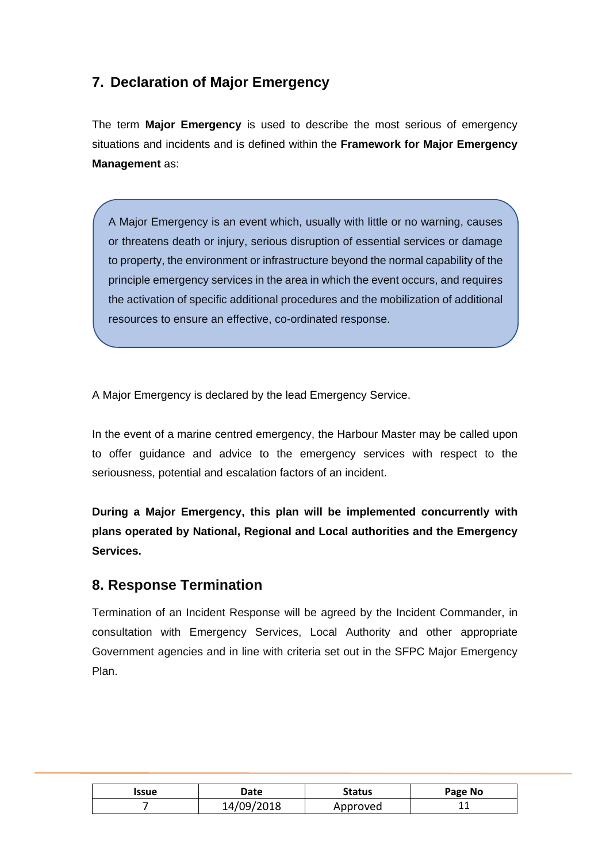# **7. Declaration of Major Emergency**

The term **Major Emergency** is used to describe the most serious of emergency situations and incidents and is defined within the **Framework for Major Emergency Management** as:

A Major Emergency is an event which, usually with little or no warning, causes or threatens death or injury, serious disruption of essential services or damage to property, the environment or infrastructure beyond the normal capability of the principle emergency services in the area in which the event occurs, and requires the activation of specific additional procedures and the mobilization of additional resources to ensure an effective, co-ordinated response.

A Major Emergency is declared by the lead Emergency Service.

In the event of a marine centred emergency, the Harbour Master may be called upon to offer guidance and advice to the emergency services with respect to the seriousness, potential and escalation factors of an incident.

**During a Major Emergency, this plan will be implemented concurrently with plans operated by National, Regional and Local authorities and the Emergency Services.** 

## **8. Response Termination**

Termination of an Incident Response will be agreed by the Incident Commander, in consultation with Emergency Services, Local Authority and other appropriate Government agencies and in line with criteria set out in the SFPC Major Emergency Plan.

| <b>Issue</b> | Date       | <b>Status</b> | Page No |
|--------------|------------|---------------|---------|
|              | 14/09/2018 | Approved      | . .     |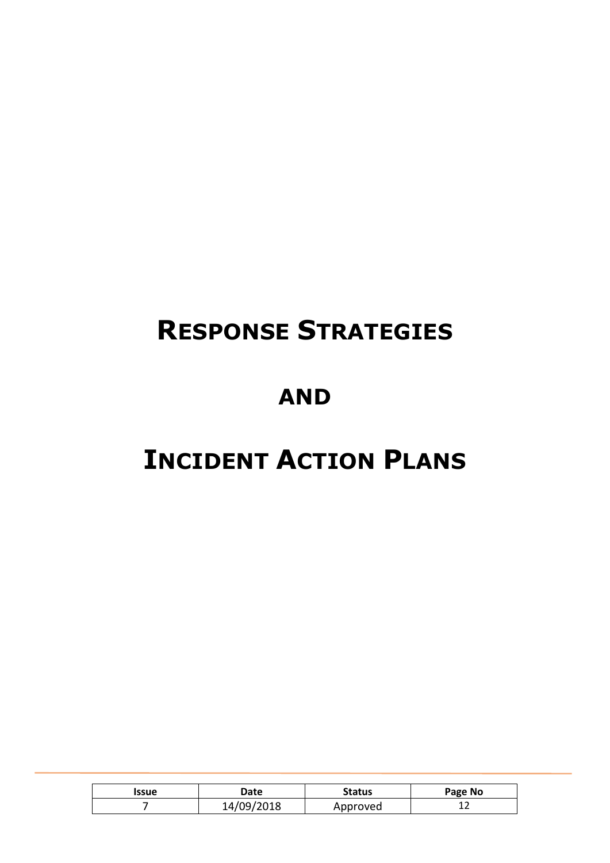# **RESPONSE STRATEGIES**

# **AND**

# **INCIDENT ACTION PLANS**

| <b>Issue</b> | <b>Date</b> | <b>Status</b> | Page No |
|--------------|-------------|---------------|---------|
|              | 14/09/2018  | Approved      | ∸∸      |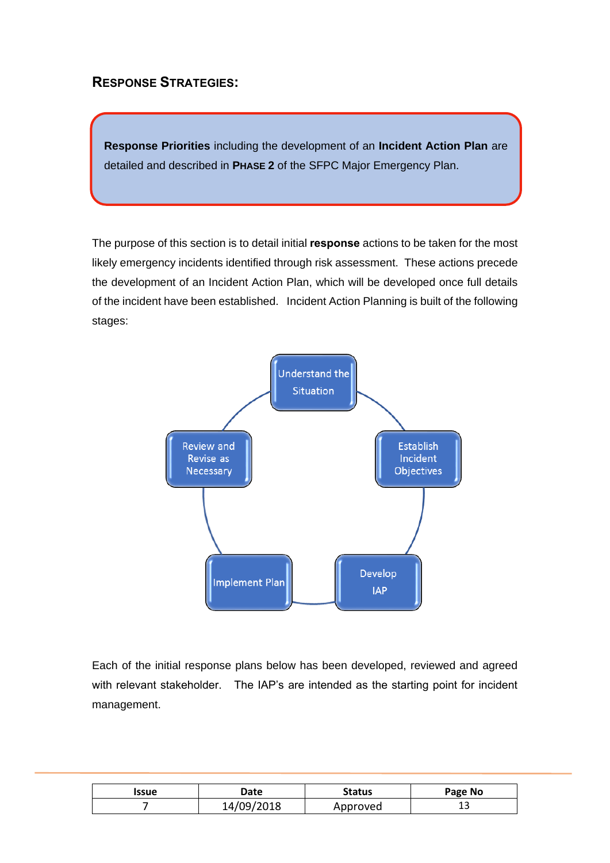## **RESPONSE STRATEGIES:**

**Response Priorities** including the development of an **Incident Action Plan** are detailed and described in **PHASE 2** of the SFPC Major Emergency Plan.

The purpose of this section is to detail initial **response** actions to be taken for the most likely emergency incidents identified through risk assessment. These actions precede the development of an Incident Action Plan, which will be developed once full details of the incident have been established. Incident Action Planning is built of the following stages:



Each of the initial response plans below has been developed, reviewed and agreed with relevant stakeholder. The IAP's are intended as the starting point for incident management.

| <b>Issue</b> | Date       | <b>Status</b> | Page No |
|--------------|------------|---------------|---------|
|              | 14/09/2018 | Approved      | ∸       |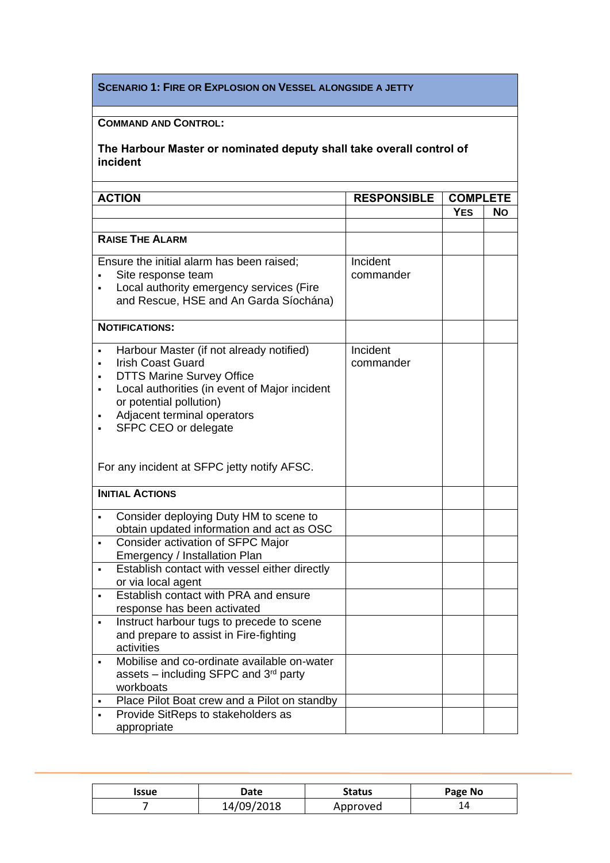#### **SCENARIO 1: FIRE OR EXPLOSION ON VESSEL ALONGSIDE A JETTY**

## **COMMAND AND CONTROL:**

| <b>ACTION</b>          |                                                                                                                                                                                                                                             | <b>RESPONSIBLE</b>    | <b>COMPLETE</b> |     |
|------------------------|---------------------------------------------------------------------------------------------------------------------------------------------------------------------------------------------------------------------------------------------|-----------------------|-----------------|-----|
|                        |                                                                                                                                                                                                                                             |                       | <b>YES</b>      | No. |
|                        |                                                                                                                                                                                                                                             |                       |                 |     |
| <b>RAISE THE ALARM</b> |                                                                                                                                                                                                                                             |                       |                 |     |
|                        | Ensure the initial alarm has been raised;<br>Site response team<br>Local authority emergency services (Fire<br>and Rescue, HSE and An Garda Síochána)                                                                                       | Incident<br>commander |                 |     |
| <b>NOTIFICATIONS:</b>  |                                                                                                                                                                                                                                             |                       |                 |     |
| ٠                      | Harbour Master (if not already notified)<br><b>Irish Coast Guard</b><br><b>DTTS Marine Survey Office</b><br>Local authorities (in event of Major incident<br>or potential pollution)<br>Adjacent terminal operators<br>SFPC CEO or delegate | Incident<br>commander |                 |     |
|                        | For any incident at SFPC jetty notify AFSC.                                                                                                                                                                                                 |                       |                 |     |
| <b>INITIAL ACTIONS</b> |                                                                                                                                                                                                                                             |                       |                 |     |
| ٠                      | Consider deploying Duty HM to scene to<br>obtain updated information and act as OSC                                                                                                                                                         |                       |                 |     |
|                        | Consider activation of SFPC Major<br>Emergency / Installation Plan                                                                                                                                                                          |                       |                 |     |
| ٠                      | Establish contact with vessel either directly<br>or via local agent                                                                                                                                                                         |                       |                 |     |
| ٠                      | Establish contact with PRA and ensure<br>response has been activated                                                                                                                                                                        |                       |                 |     |
| activities             | Instruct harbour tugs to precede to scene<br>and prepare to assist in Fire-fighting                                                                                                                                                         |                       |                 |     |
| workboats              | Mobilise and co-ordinate available on-water<br>assets – including SFPC and $3rd$ party                                                                                                                                                      |                       |                 |     |
|                        | Place Pilot Boat crew and a Pilot on standby                                                                                                                                                                                                |                       |                 |     |
| appropriate            | Provide SitReps to stakeholders as                                                                                                                                                                                                          |                       |                 |     |

| Issue | Date       | <b>Status</b> | Page No |
|-------|------------|---------------|---------|
|       | 14/09/2018 | Approved      |         |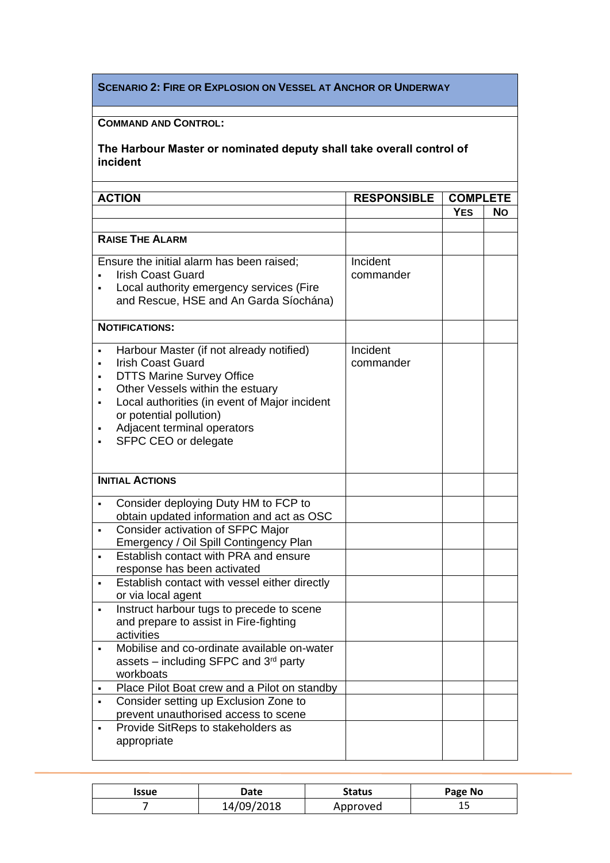#### **SCENARIO 2: FIRE OR EXPLOSION ON VESSEL AT ANCHOR OR UNDERWAY**

## **COMMAND AND CONTROL:**

|   | <b>ACTION</b>                                                                                                                                                                                                                                                                   | <b>RESPONSIBLE</b>    | <b>COMPLETE</b> |           |
|---|---------------------------------------------------------------------------------------------------------------------------------------------------------------------------------------------------------------------------------------------------------------------------------|-----------------------|-----------------|-----------|
|   |                                                                                                                                                                                                                                                                                 |                       | <b>YES</b>      | <b>No</b> |
|   |                                                                                                                                                                                                                                                                                 |                       |                 |           |
|   | <b>RAISE THE ALARM</b>                                                                                                                                                                                                                                                          |                       |                 |           |
|   | Ensure the initial alarm has been raised;<br><b>Irish Coast Guard</b><br>Local authority emergency services (Fire<br>and Rescue, HSE and An Garda Síochána)                                                                                                                     | Incident<br>commander |                 |           |
|   | <b>NOTIFICATIONS:</b>                                                                                                                                                                                                                                                           |                       |                 |           |
|   | Harbour Master (if not already notified)<br><b>Irish Coast Guard</b><br><b>DTTS Marine Survey Office</b><br>Other Vessels within the estuary<br>Local authorities (in event of Major incident<br>or potential pollution)<br>Adjacent terminal operators<br>SFPC CEO or delegate | Incident<br>commander |                 |           |
|   | <b>INITIAL ACTIONS</b>                                                                                                                                                                                                                                                          |                       |                 |           |
|   | Consider deploying Duty HM to FCP to<br>obtain updated information and act as OSC                                                                                                                                                                                               |                       |                 |           |
|   | Consider activation of SFPC Major<br>Emergency / Oil Spill Contingency Plan                                                                                                                                                                                                     |                       |                 |           |
|   | Establish contact with PRA and ensure<br>response has been activated                                                                                                                                                                                                            |                       |                 |           |
| ٠ | Establish contact with vessel either directly<br>or via local agent                                                                                                                                                                                                             |                       |                 |           |
|   | Instruct harbour tugs to precede to scene<br>and prepare to assist in Fire-fighting<br>activities                                                                                                                                                                               |                       |                 |           |
|   | Mobilise and co-ordinate available on-water<br>assets – including SFPC and $3rd$ party<br>workboats                                                                                                                                                                             |                       |                 |           |
|   | Place Pilot Boat crew and a Pilot on standby                                                                                                                                                                                                                                    |                       |                 |           |
| ٠ | Consider setting up Exclusion Zone to<br>prevent unauthorised access to scene                                                                                                                                                                                                   |                       |                 |           |
|   | Provide SitReps to stakeholders as<br>appropriate                                                                                                                                                                                                                               |                       |                 |           |

| Issue | Date       | <b>Status</b> | Page No |
|-------|------------|---------------|---------|
|       | 14/09/2018 | Approved      | <b></b> |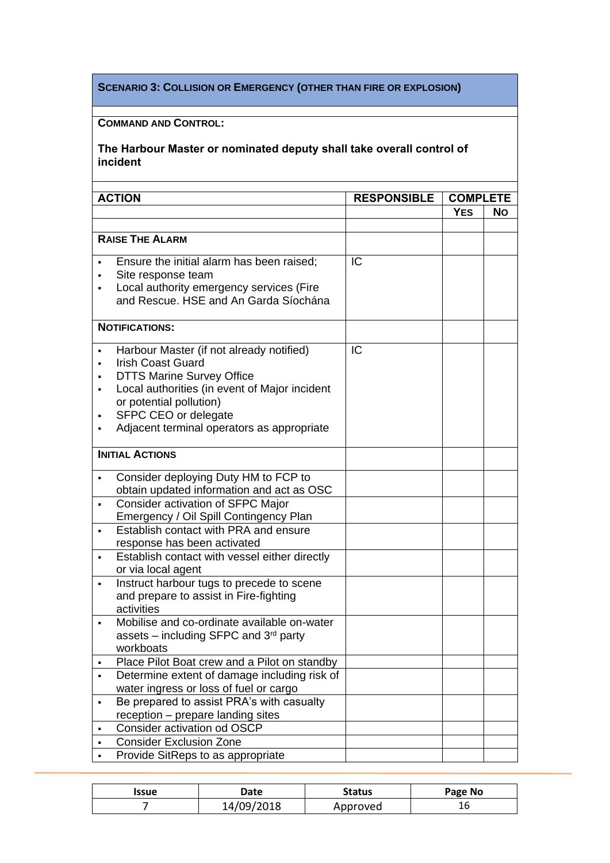## **SCENARIO 3: COLLISION OR EMERGENCY (OTHER THAN FIRE OR EXPLOSION)**

## **COMMAND AND CONTROL:**

|   | <b>ACTION</b>                                                                                                                                                                                                                                              | <b>RESPONSIBLE</b> |            | <b>COMPLETE</b> |  |
|---|------------------------------------------------------------------------------------------------------------------------------------------------------------------------------------------------------------------------------------------------------------|--------------------|------------|-----------------|--|
|   |                                                                                                                                                                                                                                                            |                    | <b>YES</b> | No.             |  |
|   |                                                                                                                                                                                                                                                            |                    |            |                 |  |
|   | <b>RAISE THE ALARM</b>                                                                                                                                                                                                                                     |                    |            |                 |  |
|   | Ensure the initial alarm has been raised;<br>Site response team<br>Local authority emergency services (Fire<br>and Rescue. HSE and An Garda Síochána                                                                                                       | IC                 |            |                 |  |
|   | <b>NOTIFICATIONS:</b>                                                                                                                                                                                                                                      |                    |            |                 |  |
|   | Harbour Master (if not already notified)<br><b>Irish Coast Guard</b><br><b>DTTS Marine Survey Office</b><br>Local authorities (in event of Major incident<br>or potential pollution)<br>SFPC CEO or delegate<br>Adjacent terminal operators as appropriate | IC                 |            |                 |  |
|   | <b>INITIAL ACTIONS</b>                                                                                                                                                                                                                                     |                    |            |                 |  |
|   | Consider deploying Duty HM to FCP to<br>obtain updated information and act as OSC                                                                                                                                                                          |                    |            |                 |  |
|   | Consider activation of SFPC Major<br>Emergency / Oil Spill Contingency Plan                                                                                                                                                                                |                    |            |                 |  |
|   | Establish contact with PRA and ensure<br>response has been activated                                                                                                                                                                                       |                    |            |                 |  |
| ٠ | Establish contact with vessel either directly<br>or via local agent                                                                                                                                                                                        |                    |            |                 |  |
| ٠ | Instruct harbour tugs to precede to scene<br>and prepare to assist in Fire-fighting<br>activities                                                                                                                                                          |                    |            |                 |  |
|   | Mobilise and co-ordinate available on-water<br>assets – including SFPC and $3rd$ party<br>workboats                                                                                                                                                        |                    |            |                 |  |
|   | Place Pilot Boat crew and a Pilot on standby                                                                                                                                                                                                               |                    |            |                 |  |
| ٠ | Determine extent of damage including risk of<br>water ingress or loss of fuel or cargo                                                                                                                                                                     |                    |            |                 |  |
|   | Be prepared to assist PRA's with casualty                                                                                                                                                                                                                  |                    |            |                 |  |
|   | reception - prepare landing sites                                                                                                                                                                                                                          |                    |            |                 |  |
|   | Consider activation od OSCP                                                                                                                                                                                                                                |                    |            |                 |  |
|   | <b>Consider Exclusion Zone</b>                                                                                                                                                                                                                             |                    |            |                 |  |
|   | Provide SitReps to as appropriate                                                                                                                                                                                                                          |                    |            |                 |  |

| Issue | <b>Date</b> | Status   | Page No |
|-------|-------------|----------|---------|
|       | 14/09/2018  | Approved | ⊥∪      |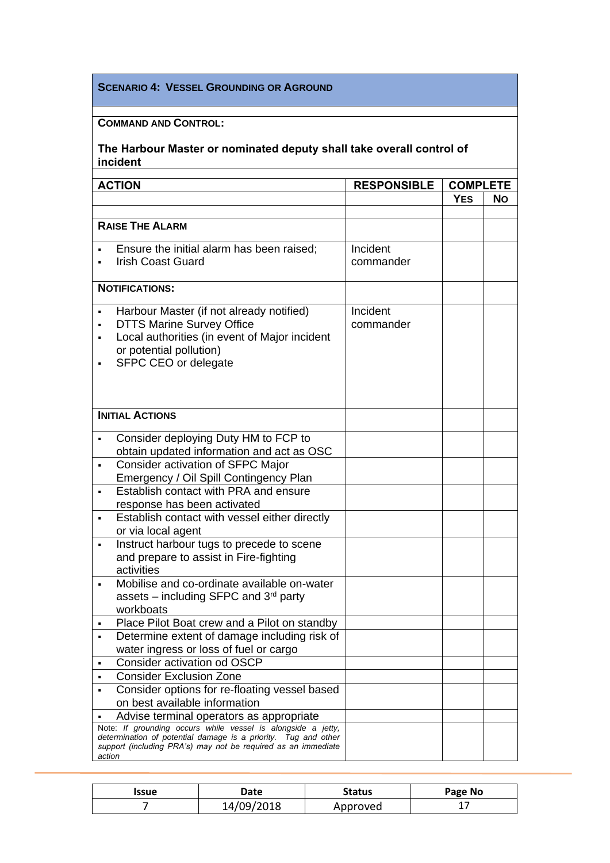#### **SCENARIO 4: VESSEL GROUNDING OR AGROUND**

## **COMMAND AND CONTROL:**

|        | <b>ACTION</b>                                                                                                                                                                                   | <b>RESPONSIBLE</b>    | <b>COMPLETE</b> |           |
|--------|-------------------------------------------------------------------------------------------------------------------------------------------------------------------------------------------------|-----------------------|-----------------|-----------|
|        |                                                                                                                                                                                                 |                       | <b>YES</b>      | <b>No</b> |
|        |                                                                                                                                                                                                 |                       |                 |           |
|        | <b>RAISE THE ALARM</b>                                                                                                                                                                          |                       |                 |           |
|        | Ensure the initial alarm has been raised;<br><b>Irish Coast Guard</b>                                                                                                                           | Incident<br>commander |                 |           |
|        | <b>NOTIFICATIONS:</b>                                                                                                                                                                           |                       |                 |           |
|        | Harbour Master (if not already notified)<br><b>DTTS Marine Survey Office</b><br>Local authorities (in event of Major incident<br>or potential pollution)<br>SFPC CEO or delegate                | Incident<br>commander |                 |           |
|        | <b>INITIAL ACTIONS</b>                                                                                                                                                                          |                       |                 |           |
|        | Consider deploying Duty HM to FCP to<br>obtain updated information and act as OSC                                                                                                               |                       |                 |           |
|        | Consider activation of SFPC Major<br>Emergency / Oil Spill Contingency Plan                                                                                                                     |                       |                 |           |
|        | Establish contact with PRA and ensure<br>response has been activated                                                                                                                            |                       |                 |           |
|        | Establish contact with vessel either directly<br>or via local agent                                                                                                                             |                       |                 |           |
|        | Instruct harbour tugs to precede to scene<br>and prepare to assist in Fire-fighting<br>activities                                                                                               |                       |                 |           |
| ٠      | Mobilise and co-ordinate available on-water<br>assets – including SFPC and $3rd$ party<br>workboats                                                                                             |                       |                 |           |
|        | Place Pilot Boat crew and a Pilot on standby                                                                                                                                                    |                       |                 |           |
|        | Determine extent of damage including risk of<br>water ingress or loss of fuel or cargo                                                                                                          |                       |                 |           |
|        | Consider activation od OSCP                                                                                                                                                                     |                       |                 |           |
| ٠      | <b>Consider Exclusion Zone</b>                                                                                                                                                                  |                       |                 |           |
| ٠      | Consider options for re-floating vessel based<br>on best available information                                                                                                                  |                       |                 |           |
|        | Advise terminal operators as appropriate                                                                                                                                                        |                       |                 |           |
| action | Note: If grounding occurs while vessel is alongside a jetty,<br>determination of potential damage is a priority. Tug and other<br>support (including PRA's) may not be required as an immediate |                       |                 |           |

| Issue | Date       | <b>Status</b> | Page No |
|-------|------------|---------------|---------|
|       | 14/09/2018 | Approved      |         |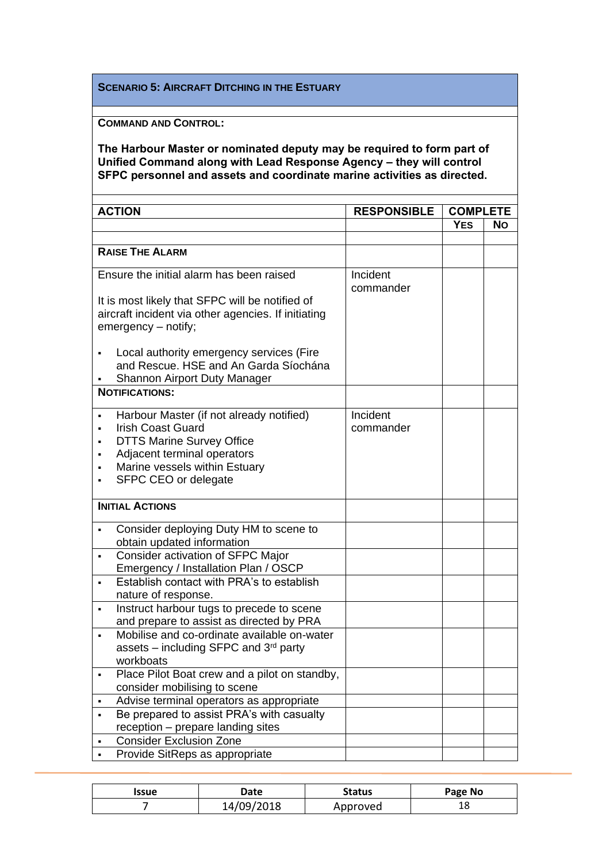#### **SCENARIO 5: AIRCRAFT DITCHING IN THE ESTUARY**

**COMMAND AND CONTROL:**

#### **The Harbour Master or nominated deputy may be required to form part of Unified Command along with Lead Response Agency – they will control SFPC personnel and assets and coordinate marine activities as directed.**

| <b>ACTION</b>                                                                               |                                                                                                                                                                                                  | <b>RESPONSIBLE</b>    | <b>COMPLETE</b> |     |
|---------------------------------------------------------------------------------------------|--------------------------------------------------------------------------------------------------------------------------------------------------------------------------------------------------|-----------------------|-----------------|-----|
|                                                                                             |                                                                                                                                                                                                  |                       | <b>YES</b>      | No. |
|                                                                                             |                                                                                                                                                                                                  |                       |                 |     |
| <b>RAISE THE ALARM</b>                                                                      |                                                                                                                                                                                                  |                       |                 |     |
| Ensure the initial alarm has been raised<br>It is most likely that SFPC will be notified of |                                                                                                                                                                                                  | Incident<br>commander |                 |     |
|                                                                                             | aircraft incident via other agencies. If initiating<br>emergency - notify;                                                                                                                       |                       |                 |     |
|                                                                                             | Local authority emergency services (Fire<br>and Rescue. HSE and An Garda Síochána<br>Shannon Airport Duty Manager                                                                                |                       |                 |     |
|                                                                                             | <b>NOTIFICATIONS:</b>                                                                                                                                                                            |                       |                 |     |
| ٠                                                                                           | Harbour Master (if not already notified)<br><b>Irish Coast Guard</b><br><b>DTTS Marine Survey Office</b><br>Adjacent terminal operators<br>Marine vessels within Estuary<br>SFPC CEO or delegate | Incident<br>commander |                 |     |
|                                                                                             | <b>INITIAL ACTIONS</b>                                                                                                                                                                           |                       |                 |     |
| ٠                                                                                           | Consider deploying Duty HM to scene to<br>obtain updated information                                                                                                                             |                       |                 |     |
| ٠                                                                                           | Consider activation of SFPC Major<br>Emergency / Installation Plan / OSCP                                                                                                                        |                       |                 |     |
|                                                                                             | Establish contact with PRA's to establish<br>nature of response.                                                                                                                                 |                       |                 |     |
| ٠                                                                                           | Instruct harbour tugs to precede to scene<br>and prepare to assist as directed by PRA                                                                                                            |                       |                 |     |
|                                                                                             | Mobilise and co-ordinate available on-water<br>assets – including SFPC and $3rd$ party<br>workboats                                                                                              |                       |                 |     |
|                                                                                             | Place Pilot Boat crew and a pilot on standby,<br>consider mobilising to scene                                                                                                                    |                       |                 |     |
| ٠                                                                                           | Advise terminal operators as appropriate                                                                                                                                                         |                       |                 |     |
| ٠                                                                                           | Be prepared to assist PRA's with casualty                                                                                                                                                        |                       |                 |     |
|                                                                                             | reception - prepare landing sites                                                                                                                                                                |                       |                 |     |
|                                                                                             | <b>Consider Exclusion Zone</b>                                                                                                                                                                   |                       |                 |     |
|                                                                                             | Provide SitReps as appropriate                                                                                                                                                                   |                       |                 |     |

| Issue | Date       | Status   | Page No |
|-------|------------|----------|---------|
|       | 14/09/2018 | Approved | ⊥໐      |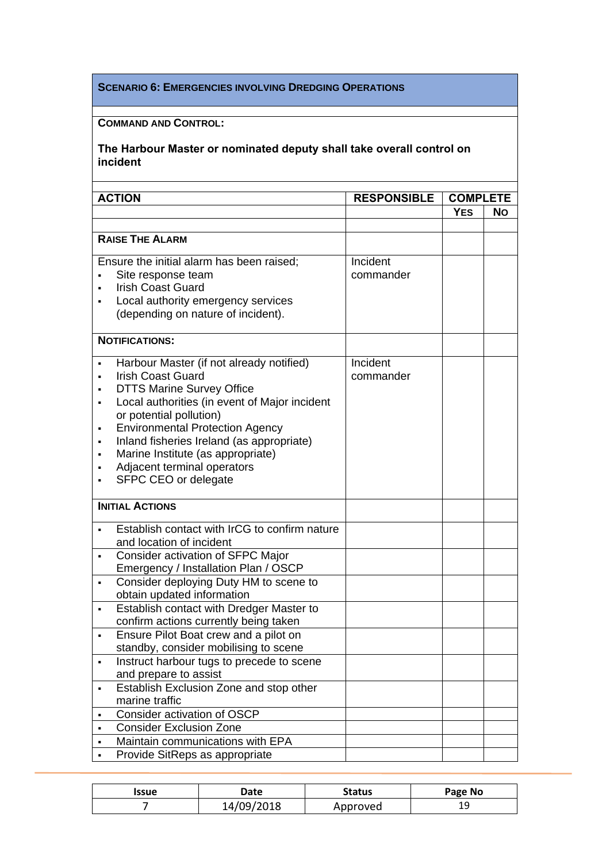#### **SCENARIO 6: EMERGENCIES INVOLVING DREDGING OPERATIONS**

## **COMMAND AND CONTROL:**

| <b>ACTION</b>          |                                                                                                                                                                                                                                                                                                                                                                         | <b>RESPONSIBLE</b>    | <b>COMPLETE</b> |           |
|------------------------|-------------------------------------------------------------------------------------------------------------------------------------------------------------------------------------------------------------------------------------------------------------------------------------------------------------------------------------------------------------------------|-----------------------|-----------------|-----------|
|                        |                                                                                                                                                                                                                                                                                                                                                                         |                       | <b>YES</b>      | <b>No</b> |
|                        |                                                                                                                                                                                                                                                                                                                                                                         |                       |                 |           |
| <b>RAISE THE ALARM</b> |                                                                                                                                                                                                                                                                                                                                                                         |                       |                 |           |
|                        | Ensure the initial alarm has been raised;<br>Site response team<br><b>Irish Coast Guard</b><br>Local authority emergency services<br>(depending on nature of incident).                                                                                                                                                                                                 | Incident<br>commander |                 |           |
|                        | <b>NOTIFICATIONS:</b>                                                                                                                                                                                                                                                                                                                                                   |                       |                 |           |
| ٠<br>٠                 | Harbour Master (if not already notified)<br><b>Irish Coast Guard</b><br><b>DTTS Marine Survey Office</b><br>Local authorities (in event of Major incident<br>or potential pollution)<br><b>Environmental Protection Agency</b><br>Inland fisheries Ireland (as appropriate)<br>Marine Institute (as appropriate)<br>Adjacent terminal operators<br>SFPC CEO or delegate | Incident<br>commander |                 |           |
|                        | <b>INITIAL ACTIONS</b>                                                                                                                                                                                                                                                                                                                                                  |                       |                 |           |
|                        | Establish contact with IrCG to confirm nature<br>and location of incident                                                                                                                                                                                                                                                                                               |                       |                 |           |
|                        | Consider activation of SFPC Major<br>Emergency / Installation Plan / OSCP                                                                                                                                                                                                                                                                                               |                       |                 |           |
| ٠                      | Consider deploying Duty HM to scene to<br>obtain updated information                                                                                                                                                                                                                                                                                                    |                       |                 |           |
| ٠                      | Establish contact with Dredger Master to<br>confirm actions currently being taken                                                                                                                                                                                                                                                                                       |                       |                 |           |
|                        | Ensure Pilot Boat crew and a pilot on<br>standby, consider mobilising to scene                                                                                                                                                                                                                                                                                          |                       |                 |           |
| ٠                      | Instruct harbour tugs to precede to scene<br>and prepare to assist                                                                                                                                                                                                                                                                                                      |                       |                 |           |
| ٠                      | Establish Exclusion Zone and stop other<br>marine traffic                                                                                                                                                                                                                                                                                                               |                       |                 |           |
| ٠                      | Consider activation of OSCP                                                                                                                                                                                                                                                                                                                                             |                       |                 |           |
|                        | <b>Consider Exclusion Zone</b>                                                                                                                                                                                                                                                                                                                                          |                       |                 |           |
| ٠                      | Maintain communications with EPA                                                                                                                                                                                                                                                                                                                                        |                       |                 |           |
| ٠                      | Provide SitReps as appropriate                                                                                                                                                                                                                                                                                                                                          |                       |                 |           |

| Issue | Date       | Status   | Page No |
|-------|------------|----------|---------|
|       | 14/09/2018 | Approved | ر د     |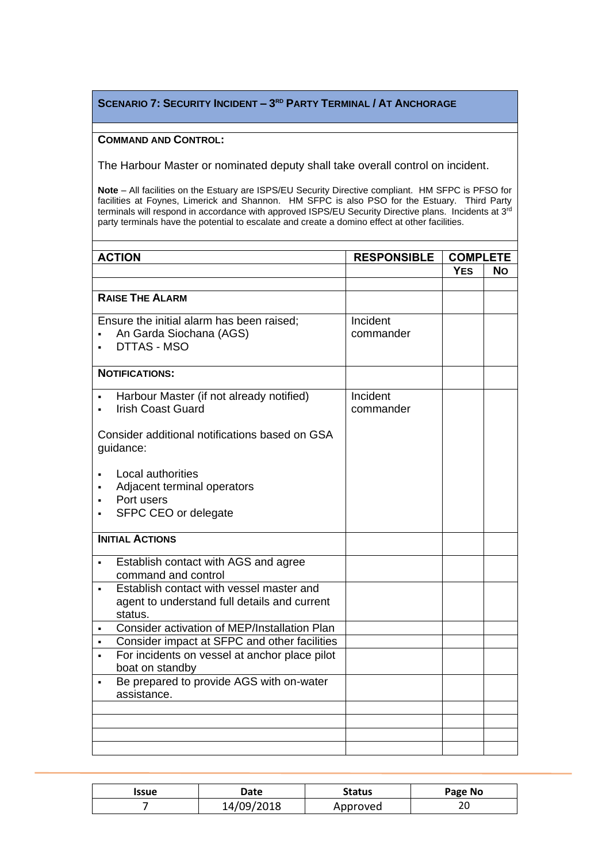#### **SCENARIO 7: SECURITY INCIDENT – 3 RD PARTY TERMINAL / AT ANCHORAGE**

#### **COMMAND AND CONTROL:**

The Harbour Master or nominated deputy shall take overall control on incident.

**Note** – All facilities on the Estuary are ISPS/EU Security Directive compliant. HM SFPC is PFSO for facilities at Foynes, Limerick and Shannon. HM SFPC is also PSO for the Estuary. Third Party terminals will respond in accordance with approved ISPS/EU Security Directive plans. Incidents at 3<sup>rd</sup> party terminals have the potential to escalate and create a domino effect at other facilities.

| <b>ACTION</b>                                                                                       | <b>RESPONSIBLE</b>    | <b>COMPLETE</b> |           |
|-----------------------------------------------------------------------------------------------------|-----------------------|-----------------|-----------|
|                                                                                                     |                       | <b>YES</b>      | <b>No</b> |
|                                                                                                     |                       |                 |           |
| <b>RAISE THE ALARM</b>                                                                              |                       |                 |           |
| Ensure the initial alarm has been raised;<br>An Garda Siochana (AGS)<br>DTTAS - MSO                 | Incident<br>commander |                 |           |
| <b>NOTIFICATIONS:</b>                                                                               |                       |                 |           |
| Harbour Master (if not already notified)<br><b>Irish Coast Guard</b>                                | Incident<br>commander |                 |           |
| Consider additional notifications based on GSA<br>guidance:                                         |                       |                 |           |
| Local authorities                                                                                   |                       |                 |           |
| Adjacent terminal operators                                                                         |                       |                 |           |
| Port users                                                                                          |                       |                 |           |
| SFPC CEO or delegate                                                                                |                       |                 |           |
| <b>INITIAL ACTIONS</b>                                                                              |                       |                 |           |
| Establish contact with AGS and agree<br>command and control                                         |                       |                 |           |
| Establish contact with vessel master and<br>agent to understand full details and current<br>status. |                       |                 |           |
| Consider activation of MEP/Installation Plan                                                        |                       |                 |           |
| Consider impact at SFPC and other facilities                                                        |                       |                 |           |
| For incidents on vessel at anchor place pilot<br>boat on standby                                    |                       |                 |           |
| Be prepared to provide AGS with on-water<br>assistance.                                             |                       |                 |           |
|                                                                                                     |                       |                 |           |
|                                                                                                     |                       |                 |           |
|                                                                                                     |                       |                 |           |
|                                                                                                     |                       |                 |           |

| Issue | Date       | <b>Status</b> | Page No |
|-------|------------|---------------|---------|
|       | 14/09/2018 | Approved      | ∠∪      |